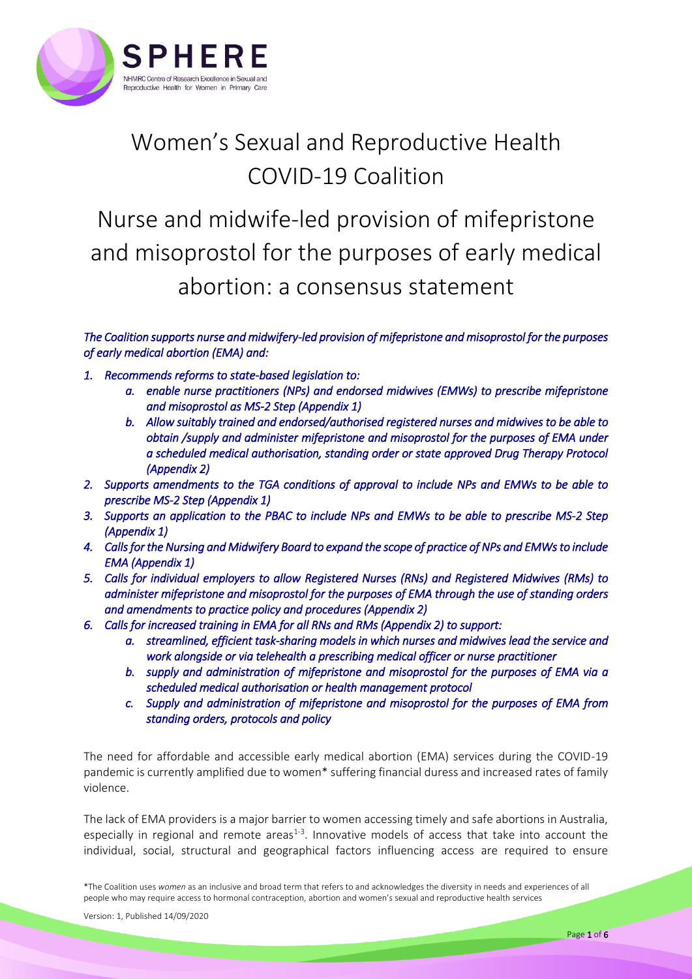

## Women's Sexual and Reproductive Health COVID-19 Coalition

Nurse and midwife-led provision of mifepristone and misoprostol for the purposes of early medical abortion: a consensus statement

*The Coalition supports nurse and midwifery-led provision of mifepristone and misoprostol for the purposes of early medical abortion (EMA) and:* 

- *1. Recommends reforms to state-based legislation to:* 
	- *a. enable nurse practitioners (NPs) and endorsed midwives (EMWs) to prescribe mifepristone and misoprostol as MS-2 Step (Appendix 1)*
	- *b. Allow suitably trained and endorsed/authorised registered nurses and midwives to be able to obtain /supply and administer mifepristone and misoprostol for the purposes of EMA under a scheduled medical authorisation, standing order or state approved Drug Therapy Protocol (Appendix 2)*
- *2. Supports amendments to the TGA conditions of approval to include NPs and EMWs to be able to prescribe MS-2 Step (Appendix 1)*
- *3. Supports an application to the PBAC to include NPs and EMWs to be able to prescribe MS-2 Step (Appendix 1)*
- *4. Calls for the Nursing and Midwifery Board to expand the scope of practice of NPs and EMWs to include EMA (Appendix 1)*
- *5. Calls for individual employers to allow Registered Nurses (RNs) and Registered Midwives (RMs) to administer mifepristone and misoprostol for the purposes of EMA through the use of standing orders and amendments to practice policy and procedures (Appendix 2)*
- *6. Calls for increased training in EMA for all RNs and RMs (Appendix 2) to support:* 
	- *a. streamlined, efficient task-sharing models in which nurses and midwives lead the service and work alongside or via telehealth a prescribing medical officer or nurse practitioner*
	- *b. supply and administration of mifepristone and misoprostol for the purposes of EMA via a scheduled medical authorisation or health management protocol*
	- *c. Supply and administration of mifepristone and misoprostol for the purposes of EMA from standing orders, protocols and policy*

The need for affordable and accessible early medical abortion (EMA) services during the COVID-19 pandemic is currently amplified due to women\* suffering financial duress and increased rates of family violence.

The lack of EMA providers is a major barrier to women accessing timely and safe abortions in Australia, especially in regional and remote areas<sup>1-3</sup>. Innovative models of access that take into account the individual, social, structural and geographical factors influencing access are required to ensure

\*The Coalition uses *women* as an inclusive and broad term that refers to and acknowledges the diversity in needs and experiences of all people who may require access to hormonal contraception, abortion and women's sexual and reproductive health services

Version: 1, Published 14/09/2020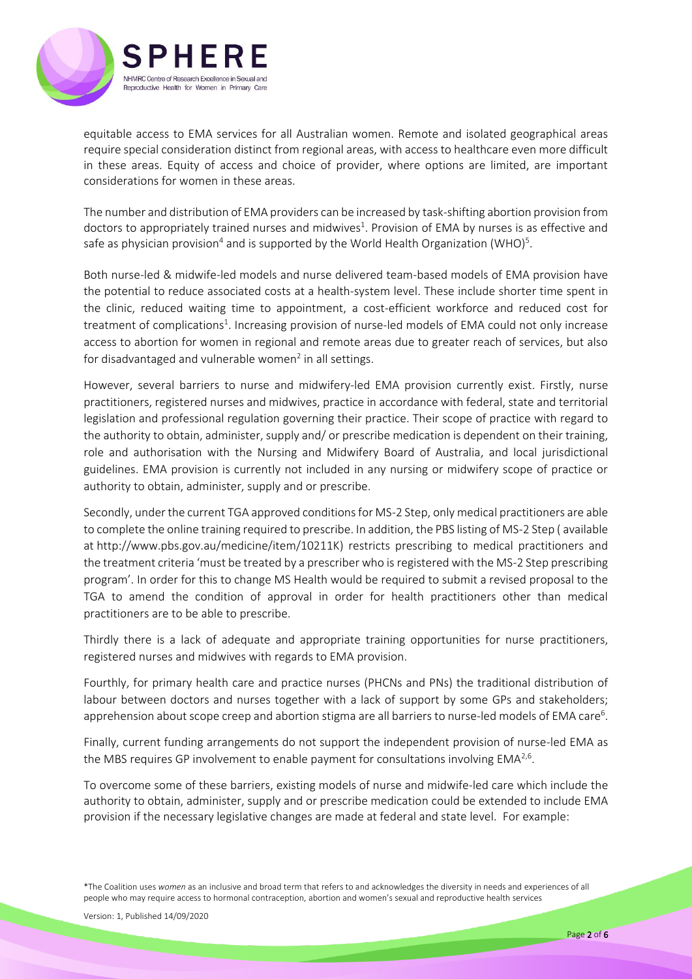

equitable access to EMA services for all Australian women. Remote and isolated geographical areas require special consideration distinct from regional areas, with access to healthcare even more difficult in these areas. Equity of access and choice of provider, where options are limited, are important considerations for women in these areas.

The number and distribution of EMA providers can be increased by task-shifting abortion provision from doctors to appropriately trained nurses and midwives<sup>1</sup>. Provision of EMA by nurses is as effective and safe as physician provision<sup>4</sup> and is supported by the World Health Organization (WHO)<sup>5</sup>.

Both nurse-led & midwife-led models and nurse delivered team-based models of EMA provision have the potential to reduce associated costs at a health-system level. These include shorter time spent in the clinic, reduced waiting time to appointment, a cost-efficient workforce and reduced cost for treatment of complications<sup>1</sup>. Increasing provision of nurse-led models of EMA could not only increase access to abortion for women in regional and remote areas due to greater reach of services, but also for disadvantaged and vulnerable women<sup>2</sup> in all settings.

However, several barriers to nurse and midwifery-led EMA provision currently exist. Firstly, nurse practitioners, registered nurses and midwives, practice in accordance with federal, state and territorial legislation and professional regulation governing their practice. Their scope of practice with regard to the authority to obtain, administer, supply and/ or prescribe medication is dependent on their training, role and authorisation with the Nursing and Midwifery Board of Australia, and local jurisdictional guidelines. EMA provision is currently not included in any nursing or midwifery scope of practice or authority to obtain, administer, supply and or prescribe.

Secondly, under the current TGA approved conditions for MS-2 Step, only medical practitioners are able to complete the online training required to prescribe. In addition, the PBS listing of MS-2 Step ( available at [http://www.pbs.gov.au/medicine/item/10211K\)](https://aus01.safelinks.protection.outlook.com/?url=http%3A%2F%2Fwww.pbs.gov.au%2Fmedicine%2Fitem%2F10211K&data=02%7C01%7CDonna.Simmonds%40atsichsbrisbane.org.au%7C9880d495f2c844c9b1d108d80d71748c%7C2640f9721f4b4f7090787fa34db6656b%7C0%7C0%7C637274129057751590&sdata=AWcBIiZI92xb3ikTIdOCDszzNlTBSqHiUrF9l%2B%2FYHTU%3D&reserved=0) restricts prescribing to medical practitioners and the treatment criteria 'must be treated by a prescriber who is registered with the MS-2 Step prescribing program'. In order for this to change MS Health would be required to submit a revised proposal to the TGA to amend the condition of approval in order for health practitioners other than medical practitioners are to be able to prescribe.

Thirdly there is a lack of adequate and appropriate training opportunities for nurse practitioners, registered nurses and midwives with regards to EMA provision.

Fourthly, for primary health care and practice nurses (PHCNs and PNs) the traditional distribution of labour between doctors and nurses together with a lack of support by some GPs and stakeholders; apprehension about scope creep and abortion stigma are all barriers to nurse-led models of EMA care<sup>6</sup>.

Finally, current funding arrangements do not support the independent provision of nurse-led EMA as the MBS requires GP involvement to enable payment for consultations involving EMA<sup>2,6</sup>.

To overcome some of these barriers, existing models of nurse and midwife-led care which include the authority to obtain, administer, supply and or prescribe medication could be extended to include EMA provision if the necessary legislative changes are made at federal and state level. For example: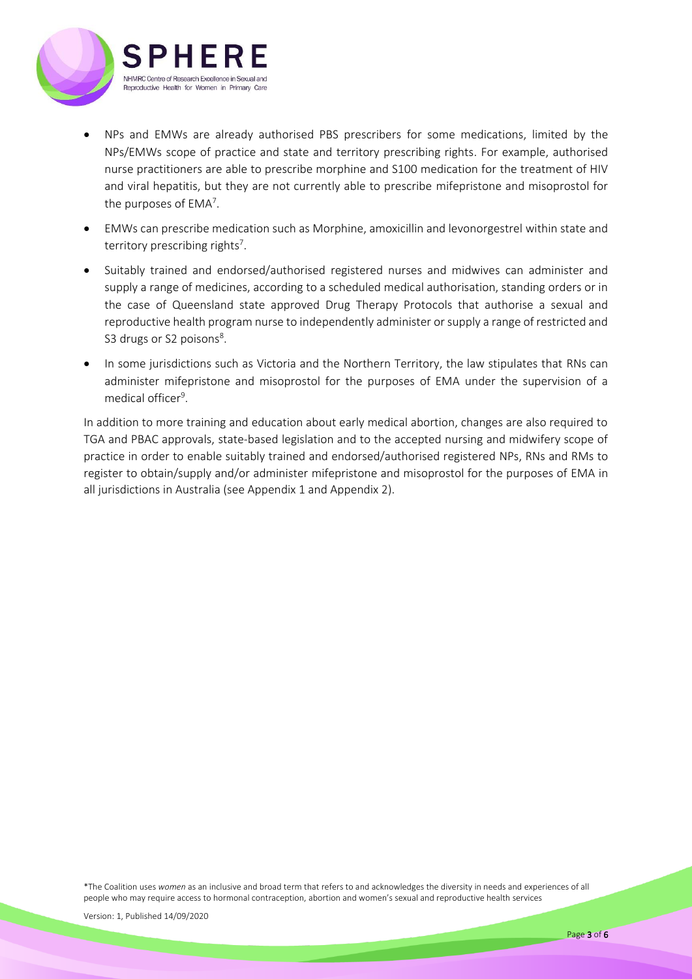

- NPs and EMWs are already authorised PBS prescribers for some medications, limited by the NPs/EMWs scope of practice and state and territory prescribing rights. For example, authorised nurse practitioners are able to prescribe morphine and S100 medication for the treatment of HIV and viral hepatitis, but they are not currently able to prescribe mifepristone and misoprostol for the purposes of EMA<sup>7</sup>.
- EMWs can prescribe medication such as Morphine, amoxicillin and levonorgestrel within state and territory prescribing rights<sup>7</sup>.
- Suitably trained and endorsed/authorised registered nurses and midwives can administer and supply a range of medicines, according to a scheduled medical authorisation, standing orders or in the case of Queensland state approved Drug Therapy Protocols that authorise a sexual and reproductive health program nurse to independently administer or supply a range of restricted and S3 drugs or S2 poisons<sup>8</sup>.
- In some jurisdictions such as Victoria and the Northern Territory, the law stipulates that RNs can administer mifepristone and misoprostol for the purposes of EMA under the supervision of a medical officer<sup>9</sup>.

In addition to more training and education about early medical abortion, changes are also required to TGA and PBAC approvals, state-based legislation and to the accepted nursing and midwifery scope of practice in order to enable suitably trained and endorsed/authorised registered NPs, RNs and RMs to register to obtain/supply and/or administer mifepristone and misoprostol for the purposes of EMA in all jurisdictions in Australia (see Appendix 1 and Appendix 2).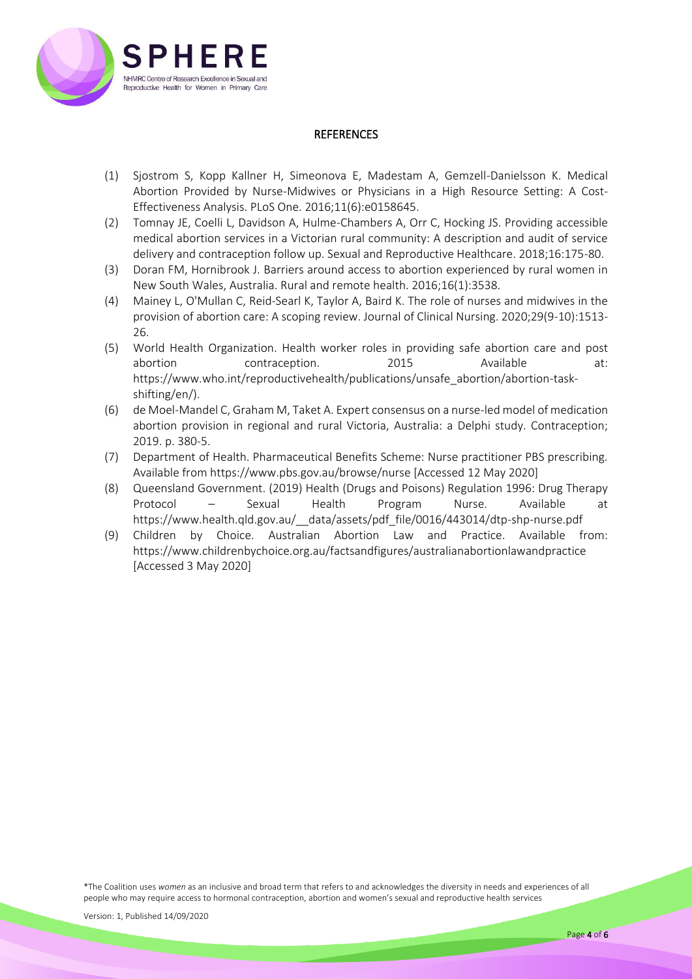

## **REFERENCES**

- (1) Sjostrom S, Kopp Kallner H, Simeonova E, Madestam A, Gemzell-Danielsson K. Medical Abortion Provided by Nurse-Midwives or Physicians in a High Resource Setting: A Cost-Effectiveness Analysis. PLoS One. 2016;11(6):e0158645.
- (2) Tomnay JE, Coelli L, Davidson A, Hulme-Chambers A, Orr C, Hocking JS. Providing accessible medical abortion services in a Victorian rural community: A description and audit of service delivery and contraception follow up. Sexual and Reproductive Healthcare. 2018;16:175-80.
- (3) Doran FM, Hornibrook J. Barriers around access to abortion experienced by rural women in New South Wales, Australia. Rural and remote health. 2016;16(1):3538.
- (4) Mainey L, O'Mullan C, Reid‐Searl K, Taylor A, Baird K. The role of nurses and midwives in the provision of abortion care: A scoping review. Journal of Clinical Nursing. 2020;29(9-10):1513- 26.
- (5) World Health Organization. Health worker roles in providing safe abortion care and post abortion contraception. 2015 Available at: https://www.who.int/reproductivehealth/publications/unsafe\_abortion/abortion-taskshifting/en/).
- (6) de Moel-Mandel C, Graham M, Taket A. Expert consensus on a nurse-led model of medication abortion provision in regional and rural Victoria, Australia: a Delphi study. Contraception; 2019. p. 380-5.
- (7) Department of Health. Pharmaceutical Benefits Scheme: Nurse practitioner PBS prescribing. Available from https://www.pbs.gov.au/browse/nurse [Accessed 12 May 2020]
- (8) Queensland Government. (2019) Health (Drugs and Poisons) Regulation 1996: Drug Therapy Protocol – Sexual Health Program Nurse. Available at [https://www.health.qld.gov.au/\\_\\_data/assets/pdf\\_file/0016/443014/dtp-shp-nurse.pdf](https://www.health.qld.gov.au/__data/assets/pdf_file/0016/443014/dtp-shp-nurse.pdf)
- (9) Children by Choice. Australian Abortion Law and Practice. Available from: <https://www.childrenbychoice.org.au/factsandfigures/australianabortionlawandpractice> [Accessed 3 May 2020]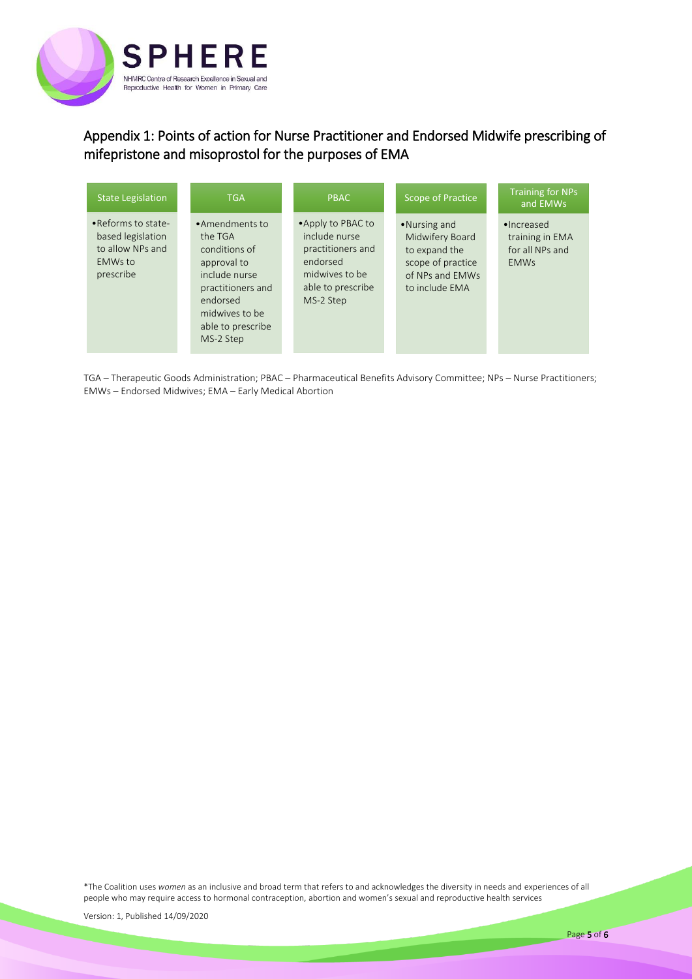

## Appendix 1: Points of action for Nurse Practitioner and Endorsed Midwife prescribing of mifepristone and misoprostol for the purposes of EMA

| <b>State Legislation</b>                                                                   | <b>TGA</b>                                                                                                                                                      | <b>PBAC</b>                                                                                                              | Scope of Practice                                                                                          | <b>Training for NPs</b><br>and EMWs                             |
|--------------------------------------------------------------------------------------------|-----------------------------------------------------------------------------------------------------------------------------------------------------------------|--------------------------------------------------------------------------------------------------------------------------|------------------------------------------------------------------------------------------------------------|-----------------------------------------------------------------|
| .Reforms to state-<br>based legislation<br>to allow NPs and<br><b>EMWs to</b><br>prescribe | •Amendments to<br>the TGA<br>conditions of<br>approval to<br>include nurse<br>practitioners and<br>endorsed<br>midwives to be<br>able to prescribe<br>MS-2 Step | • Apply to PBAC to<br>include nurse<br>practitioners and<br>endorsed<br>midwives to be<br>able to prescribe<br>MS-2 Step | •Nursing and<br>Midwifery Board<br>to expand the<br>scope of practice<br>of NPs and EMWs<br>to include EMA | •Increased<br>training in EMA<br>for all NPs and<br><b>EMWs</b> |

TGA – Therapeutic Goods Administration; PBAC – Pharmaceutical Benefits Advisory Committee; NPs – Nurse Practitioners; EMWs – Endorsed Midwives; EMA – Early Medical Abortion